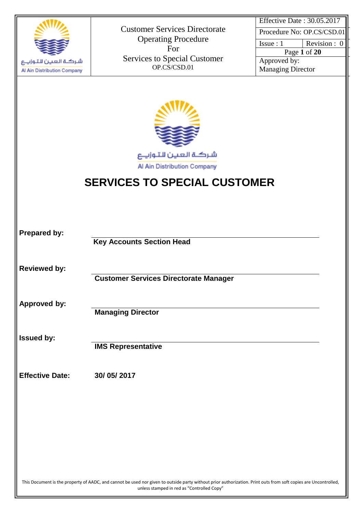

| Effective Date: 30.05.2017 |              |
|----------------------------|--------------|
| Procedure No: OP.CS/CSD.01 |              |
| Is sue: 1                  | Revision : 0 |
| Page 1 of 20               |              |
| Approved by:               |              |
| <b>Managing Director</b>   |              |

شركة العين للتوزياع Al Ain Distribution Company

# **SERVICES TO SPECIAL CUSTOMER**

| <b>Prepared by:</b>    |                                                                                                                                                                                                               |
|------------------------|---------------------------------------------------------------------------------------------------------------------------------------------------------------------------------------------------------------|
|                        | <b>Key Accounts Section Head</b>                                                                                                                                                                              |
| <b>Reviewed by:</b>    |                                                                                                                                                                                                               |
|                        | <b>Customer Services Directorate Manager</b>                                                                                                                                                                  |
| <b>Approved by:</b>    |                                                                                                                                                                                                               |
|                        | <b>Managing Director</b>                                                                                                                                                                                      |
| <b>Issued by:</b>      |                                                                                                                                                                                                               |
|                        | <b>IMS Representative</b>                                                                                                                                                                                     |
| <b>Effective Date:</b> | 30/05/2017                                                                                                                                                                                                    |
|                        |                                                                                                                                                                                                               |
|                        |                                                                                                                                                                                                               |
|                        |                                                                                                                                                                                                               |
|                        |                                                                                                                                                                                                               |
|                        |                                                                                                                                                                                                               |
|                        | This Document is the property of AADC, and cannot be used nor given to outside party without prior authorization. Print outs from soft copies are Uncontrolled,<br>unless stamped in red as "Controlled Copy" |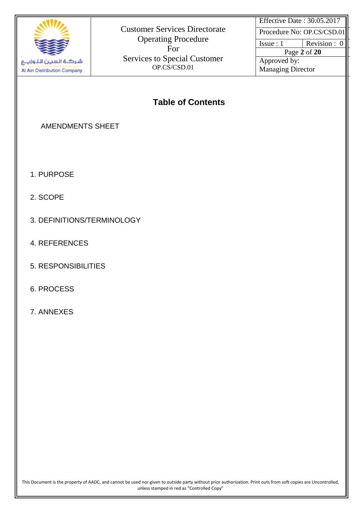

Effective Date : 30.05.2017

Procedure No: OP.CS/CSD.01

Issue :  $1$  Revision : 0 Page **2** of **20**

Approved by: Managing Director

# **Table of Contents**

# AMENDMENTS SHEET

- 1. PURPOSE
- 2. SCOPE
- 3. DEFINITIONS/TERMINOLOGY
- 4. REFERENCES
- 5. RESPONSIBILITIES
- 6. PROCESS
- 7. ANNEXES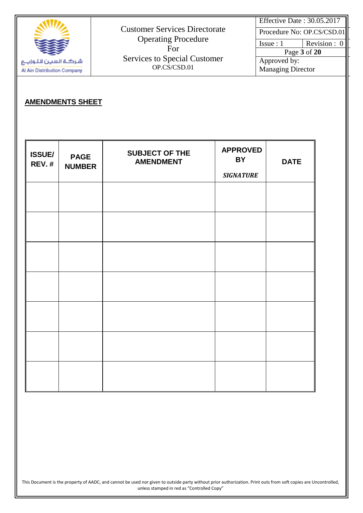|                                                   | <b>Customer Services Directorate</b>                                                     | Effective Date: 30.05.2017<br>Procedure No: OP.CS/CSD.01                       |
|---------------------------------------------------|------------------------------------------------------------------------------------------|--------------------------------------------------------------------------------|
| شركة العين لاتوزيع<br>Al Ain Distribution Company | <b>Operating Procedure</b><br>For<br><b>Services to Special Customer</b><br>OP.CS/CSD.01 | Revision : 0<br>Is sue: 1<br>Page 3 of 20<br>Approved by:<br>Managing Director |

# **AMENDMENTS SHEET**

| <b>ISSUE/</b><br><b>REV.#</b> | <b>PAGE</b><br><b>NUMBER</b> | <b>SUBJECT OF THE</b><br><b>AMENDMENT</b> | <b>APPROVED</b><br>BY<br><b>SIGNATURE</b> | <b>DATE</b> |
|-------------------------------|------------------------------|-------------------------------------------|-------------------------------------------|-------------|
|                               |                              |                                           |                                           |             |
|                               |                              |                                           |                                           |             |
|                               |                              |                                           |                                           |             |
|                               |                              |                                           |                                           |             |
|                               |                              |                                           |                                           |             |
|                               |                              |                                           |                                           |             |
|                               |                              |                                           |                                           |             |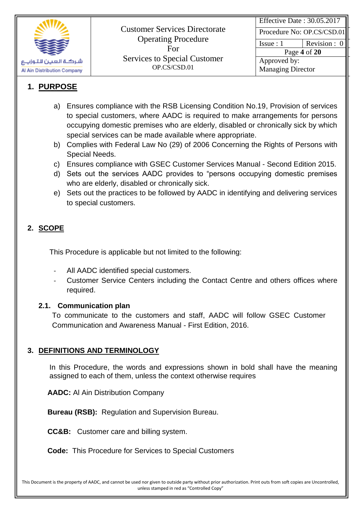

Effective Date : 30.05.2017

Procedure No: OP.CS/CSD.01

Issue :  $1$  Revision : 0

Page **4** of **20** Approved by: Managing Director

# **1. PURPOSE**

- a) Ensures compliance with the RSB Licensing Condition No.19, Provision of services to special customers, where AADC is required to make arrangements for persons occupying domestic premises who are elderly, disabled or chronically sick by which special services can be made available where appropriate.
- b) Complies with Federal Law No (29) of 2006 Concerning the Rights of Persons with Special Needs.
- c) Ensures compliance with GSEC Customer Services Manual Second Edition 2015.
- d) Sets out the services AADC provides to "persons occupying domestic premises who are elderly, disabled or chronically sick.
- e) Sets out the practices to be followed by AADC in identifying and delivering services to special customers.

# **2. SCOPE**

This Procedure is applicable but not limited to the following:

- All AADC identified special customers.
- Customer Service Centers including the Contact Centre and others offices where required.

### **2.1. Communication plan**

To communicate to the customers and staff, AADC will follow GSEC Customer Communication and Awareness Manual - First Edition, 2016.

### **3. DEFINITIONS AND TERMINOLOGY**

In this Procedure, the words and expressions shown in bold shall have the meaning assigned to each of them, unless the context otherwise requires

**AADC:** Al Ain Distribution Company

**Bureau (RSB):** Regulation and Supervision Bureau.

**CC&B:** Customer care and billing system.

**Code:** This Procedure for Services to Special Customers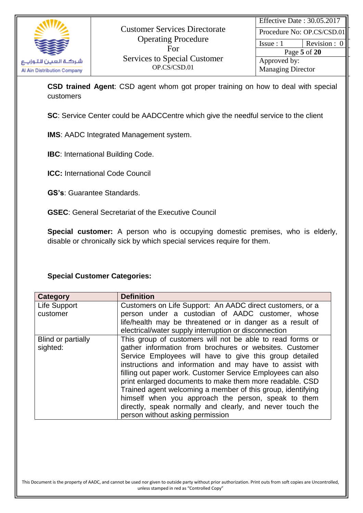

 $Is sue : 1$  Revision : 0

Page **5** of **20** Approved by: Managing Director

**CSD trained Agent**: CSD agent whom got proper training on how to deal with special customers

**SC**: Service Center could be AADCCentre which give the needful service to the client

**IMS**: AADC Integrated Management system.

**IBC:** International Building Code.

**ICC:** International Code Council

**GS's**: Guarantee Standards.

**GSEC**: General Secretariat of the Executive Council

**Special customer:** A person who is occupying domestic premises, who is elderly, disable or chronically sick by which special services require for them.

### **Special Customer Categories:**

| <b>Category</b>    | <b>Definition</b>                                           |
|--------------------|-------------------------------------------------------------|
| Life Support       | Customers on Life Support: An AADC direct customers, or a   |
| customer           | person under a custodian of AADC customer, whose            |
|                    | life/health may be threatened or in danger as a result of   |
|                    | electrical/water supply interruption or disconnection       |
| Blind or partially | This group of customers will not be able to read forms or   |
| sighted:           | gather information from brochures or websites. Customer     |
|                    | Service Employees will have to give this group detailed     |
|                    | instructions and information and may have to assist with    |
|                    | filling out paper work. Customer Service Employees can also |
|                    | print enlarged documents to make them more readable. CSD    |
|                    | Trained agent welcoming a member of this group, identifying |
|                    | himself when you approach the person, speak to them         |
|                    | directly, speak normally and clearly, and never touch the   |
|                    | person without asking permission                            |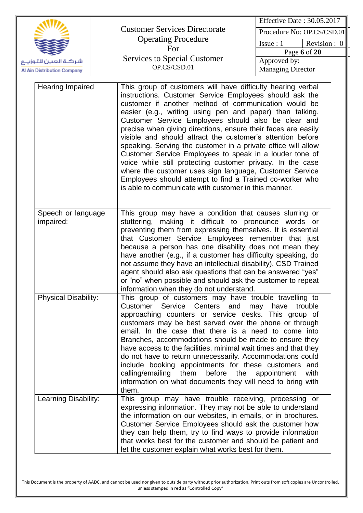|                                 |                                                                                                                                                                                                                                                                                                                                                                                                                                                                                                                                                                                                                                                                                                                                                   | Effective Date: 30.05.2017                    |
|---------------------------------|---------------------------------------------------------------------------------------------------------------------------------------------------------------------------------------------------------------------------------------------------------------------------------------------------------------------------------------------------------------------------------------------------------------------------------------------------------------------------------------------------------------------------------------------------------------------------------------------------------------------------------------------------------------------------------------------------------------------------------------------------|-----------------------------------------------|
|                                 | <b>Customer Services Directorate</b>                                                                                                                                                                                                                                                                                                                                                                                                                                                                                                                                                                                                                                                                                                              | Procedure No: OP.CS/CSD.01                    |
|                                 | <b>Operating Procedure</b>                                                                                                                                                                                                                                                                                                                                                                                                                                                                                                                                                                                                                                                                                                                        | Issue: 1<br>Revision : 0                      |
|                                 | For                                                                                                                                                                                                                                                                                                                                                                                                                                                                                                                                                                                                                                                                                                                                               | Page 6 of 20                                  |
| شركة العين للتوزييع             | <b>Services to Special Customer</b>                                                                                                                                                                                                                                                                                                                                                                                                                                                                                                                                                                                                                                                                                                               | Approved by:                                  |
| Al Ain Distribution Company     | OP.CS/CSD.01                                                                                                                                                                                                                                                                                                                                                                                                                                                                                                                                                                                                                                                                                                                                      | <b>Managing Director</b>                      |
| <b>Hearing Impaired</b>         | This group of customers will have difficulty hearing verbal<br>instructions. Customer Service Employees should ask the<br>customer if another method of communication would be<br>easier (e.g., writing using pen and paper) than talking.<br>Customer Service Employees should also be clear and<br>precise when giving directions, ensure their faces are easily<br>visible and should attract the customer's attention before<br>speaking. Serving the customer in a private office will allow<br>Customer Service Employees to speak in a louder tone of<br>voice while still protecting customer privacy. In the case<br>where the customer uses sign language, Customer Service<br>Employees should attempt to find a Trained co-worker who |                                               |
| Speech or language<br>impaired: | is able to communicate with customer in this manner.<br>This group may have a condition that causes slurring or<br>stuttering, making it difficult to pronounce words or<br>preventing them from expressing themselves. It is essential<br>that Customer Service Employees remember that just<br>because a person has one disability does not mean they<br>have another (e.g., if a customer has difficulty speaking, do<br>not assume they have an intellectual disability). CSD Trained<br>agent should also ask questions that can be answered "yes"<br>or "no" when possible and should ask the customer to repeat<br>information when they do not understand.                                                                                |                                               |
| <b>Physical Disability:</b>     | This group of customers may have trouble travelling to<br>Customer Service Centers and<br>approaching counters or service desks. This group of<br>customers may be best served over the phone or through<br>email. In the case that there is a need to come into<br>Branches, accommodations should be made to ensure they<br>have access to the facilities, minimal wait times and that they<br>do not have to return unnecessarily. Accommodations could<br>include booking appointments for these customers and<br>calling/emailing them<br>before the<br>information on what documents they will need to bring with<br>them.                                                                                                                  | may<br>have<br>trouble<br>appointment<br>with |
| Learning Disability:            | This group may have trouble receiving, processing or<br>expressing information. They may not be able to understand<br>the information on our websites, in emails, or in brochures.<br>Customer Service Employees should ask the customer how<br>they can help them, try to find ways to provide information<br>that works best for the customer and should be patient and<br>let the customer explain what works best for them.                                                                                                                                                                                                                                                                                                                   |                                               |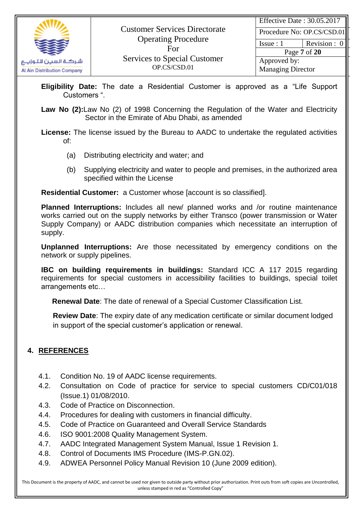

Issue :  $1$  Revision : 0

Page **7** of **20** Approved by: Managing Director

- **Eligibility Date:** The date a Residential Customer is approved as a "Life Support Customers ".
- **Law No (2):**Law No (2) of 1998 Concerning the Regulation of the Water and Electricity Sector in the Emirate of Abu Dhabi, as amended
- **License:** The license issued by the Bureau to AADC to undertake the regulated activities of:
	- (a) Distributing electricity and water; and
	- (b) Supplying electricity and water to people and premises, in the authorized area specified within the License

**Residential Customer:** a Customer whose **[account is so classified]**.

**Planned Interruptions:** Includes all new/ planned works and /or routine maintenance works carried out on the supply networks by either Transco (power transmission or Water Supply Company) or AADC distribution companies which necessitate an interruption of supply.

**Unplanned Interruptions:** Are those necessitated by emergency conditions on the network or supply pipelines.

**IBC on building requirements in buildings:** Standard ICC A 117 2015 regarding requirements for special customers in accessibility facilities to buildings, special toilet arrangements etc…

**Renewal Date**: The date of renewal of a Special Customer Classification List.

**Review Date**: The expiry date of any medication certificate or similar document lodged in support of the special customer's application or renewal.

# **4. REFERENCES**

- 4.1. Condition No. 19 of AADC license requirements.
- 4.2. Consultation on Code of practice for service to special customers CD/C01/018 (Issue.1) 01/08/2010.
- 4.3. Code of Practice on Disconnection.
- 4.4. Procedures for dealing with customers in financial difficulty.
- 4.5. Code of Practice on Guaranteed and Overall Service Standards
- 4.6. ISO 9001:2008 Quality Management System.
- 4.7. AADC Integrated Management System Manual, Issue 1 Revision 1.
- 4.8. Control of Documents IMS Procedure (IMS-P.GN.02).
- 4.9. ADWEA Personnel Policy Manual Revision 10 (June 2009 edition).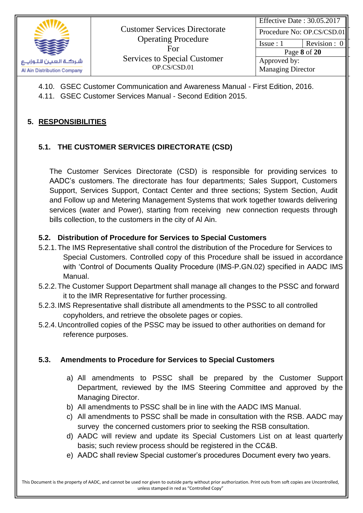

| Effective Date: 30.05.2017 |              |
|----------------------------|--------------|
| Procedure No: OP.CS/CSD.01 |              |
| Is sue: 1                  | Revision : 0 |
| Page 8 of 20               |              |
| Approved by:               |              |

Managing Director

4.10. GSEC Customer Communication and Awareness Manual - First Edition, 2016.

4.11. GSEC Customer Services Manual - Second Edition 2015.

## **5. RESPONSIBILITIES**

# **5.1. THE CUSTOMER SERVICES DIRECTORATE (CSD)**

The Customer Services Directorate (CSD) is responsible for providing services to AADC's customers. The directorate has four departments; Sales Support, Customers Support, Services Support, Contact Center and three sections; System Section, Audit and Follow up and Metering Management Systems that work together towards delivering services (water and Power), starting from receiving new connection requests through bills collection, to the customers in the city of Al Ain.

### **5.2. Distribution of Procedure for Services to Special Customers**

- 5.2.1.The IMS Representative shall control the distribution of the Procedure for Services to Special Customers. Controlled copy of this Procedure shall be issued in accordance with 'Control of Documents Quality Procedure (IMS-P.GN.02) specified in AADC IMS Manual.
- 5.2.2.The Customer Support Department shall manage all changes to the PSSC and forward it to the IMR Representative for further processing.
- 5.2.3.IMS Representative shall distribute all amendments to the PSSC to all controlled copyholders, and retrieve the obsolete pages or copies.
- 5.2.4.Uncontrolled copies of the PSSC may be issued to other authorities on demand for reference purposes.

### **5.3. Amendments to Procedure for Services to Special Customers**

- a) All amendments to PSSC shall be prepared by the Customer Support Department, reviewed by the IMS Steering Committee and approved by the Managing Director.
- b) All amendments to PSSC shall be in line with the AADC IMS Manual.
- c) All amendments to PSSC shall be made in consultation with the RSB. AADC may survey the concerned customers prior to seeking the RSB consultation.
- d) AADC will review and update its Special Customers List on at least quarterly basis; such review process should be registered in the CC&B.
- e) AADC shall review Special customer's procedures Document every two years.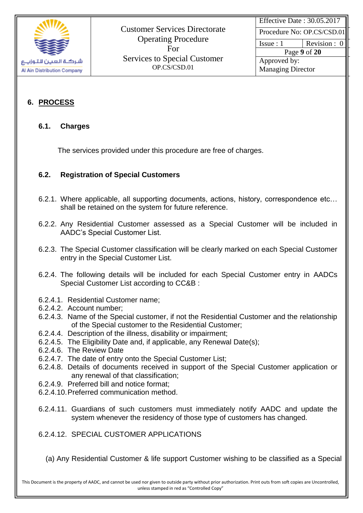

Effective Date : 30.05.2017

Procedure No: OP.CS/CSD.01

Issue :  $1$  Revision : 0

Page **9** of **20** Approved by: Managing Director

# **6. PROCESS**

#### **6.1. Charges**

The services provided under this procedure are free of charges.

# **6.2. Registration of Special Customers**

- 6.2.1. Where applicable, all supporting documents, actions, history, correspondence etc… shall be retained on the system for future reference.
- 6.2.2. Any Residential Customer assessed as a Special Customer will be included in AADC's Special Customer List.
- 6.2.3. The Special Customer classification will be clearly marked on each Special Customer entry in the Special Customer List.
- 6.2.4. The following details will be included for each Special Customer entry in AADCs Special Customer List according to CC&B :
- 6.2.4.1. Residential Customer name;
- 6.2.4.2. Account number;
- 6.2.4.3. Name of the Special customer, if not the Residential Customer and the relationship of the Special customer to the Residential Customer;
- 6.2.4.4. Description of the illness, disability or impairment;
- 6.2.4.5. The Eligibility Date and, if applicable, any Renewal Date(s);
- 6.2.4.6. The Review Date
- 6.2.4.7. The date of entry onto the Special Customer List;
- 6.2.4.8. Details of documents received in support of the Special Customer application or any renewal of that classification;
- 6.2.4.9. Preferred bill and notice format;
- 6.2.4.10.Preferred communication method.
- 6.2.4.11. Guardians of such customers must immediately notify AADC and update the system whenever the residency of those type of customers has changed.

6.2.4.12. SPECIAL CUSTOMER APPLICATIONS

(a) Any Residential Customer & life support Customer wishing to be classified as a Special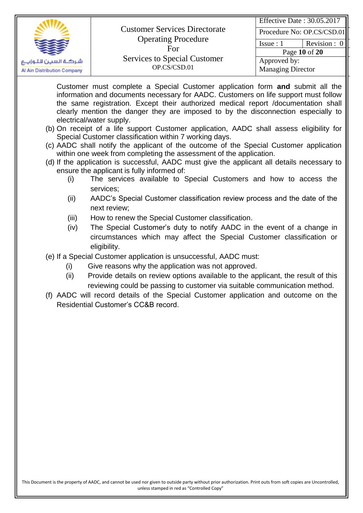|                                                   | <b>Customer Services Directorate</b>                                                     | Effective Date: 30.05.2017                               | Procedure No: OP.CS/CSD.01      |
|---------------------------------------------------|------------------------------------------------------------------------------------------|----------------------------------------------------------|---------------------------------|
| شركة العين لاتوزيع<br>Al Ain Distribution Company | <b>Operating Procedure</b><br>For<br><b>Services to Special Customer</b><br>OP.CS/CSD.01 | $I$ ssue : 1<br>Approved by:<br><b>Managing Director</b> | Revision : $0$<br>Page 10 of 20 |

Customer must complete a Special Customer application form **and** submit all the information and documents necessary for AADC. Customers on life support must follow the same registration. Except their authorized medical report /documentation shall clearly mention the danger they are imposed to by the disconnection especially to electrical/water supply.

- (b) On receipt of a life support Customer application, AADC shall assess eligibility for Special Customer classification within 7 working days.
- (c) AADC shall notify the applicant of the outcome of the Special Customer application within one week from completing the assessment of the application.
- (d) If the application is successful, AADC must give the applicant all details necessary to ensure the applicant is fully informed of:
	- (i) The services available to Special Customers and how to access the services;
	- (ii) AADC's Special Customer classification review process and the date of the next review;
	- (iii) How to renew the Special Customer classification.
	- (iv) The Special Customer's duty to notify AADC in the event of a change in circumstances which may affect the Special Customer classification or eligibility.
- (e) If a Special Customer application is unsuccessful, AADC must:
	- (i) Give reasons why the application was not approved.
	- (ii) Provide details on review options available to the applicant, the result of this reviewing could be passing to customer via suitable communication method.
- (f) AADC will record details of the Special Customer application and outcome on the Residential Customer's CC&B record.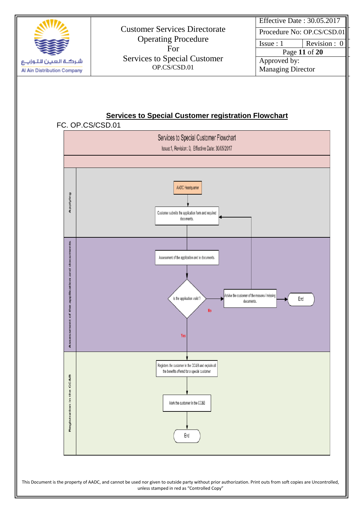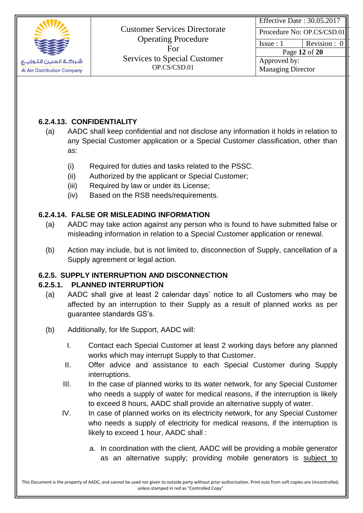

Effective Date : 30.05.2017

Procedure No: OP.CS/CSD.01

Issue :  $1$  Revision : 0

Page **12** of **20** Approved by: Managing Director

# **6.2.4.13. CONFIDENTIALITY**

- (a) AADC shall keep confidential and not disclose any information it holds in relation to any Special Customer application or a Special Customer classification, other than as:
	- (i) Required for duties and tasks related to the PSSC.
	- (ii) Authorized by the applicant or Special Customer;
	- (iii) Required by law or under its License;
	- (iv) Based on the RSB needs/requirements.

# **6.2.4.14. FALSE OR MISLEADING INFORMATION**

- (a) AADC may take action against any person who is found to have submitted false or misleading information in relation to a Special Customer application or renewal.
- (b) Action may include, but is not limited to, disconnection of Supply, cancellation of a Supply agreement or legal action.

# **6.2.5. SUPPLY INTERRUPTION AND DISCONNECTION**

# **6.2.5.1. PLANNED INTERRUPTION**

- (a) AADC shall give at least 2 calendar days' notice to all Customers who may be affected by an interruption to their Supply as a result of planned works as per guarantee standards GS's.
- (b) Additionally, for life Support, AADC will:
	- I. Contact each Special Customer at least 2 working days before any planned works which may interrupt Supply to that Customer.
	- II. Offer advice and assistance to each Special Customer during Supply interruptions.
	- III. In the case of planned works to its water network, for any Special Customer who needs a supply of water for medical reasons, if the interruption is likely to exceed 8 hours, AADC shall provide an alternative supply of water.
	- IV. In case of planned works on its electricity network, for any Special Customer who needs a supply of electricity for medical reasons, if the interruption is likely to exceed 1 hour, AADC shall :
		- a. In coordination with the client, AADC will be providing a mobile generator as an alternative supply; providing mobile generators is subject to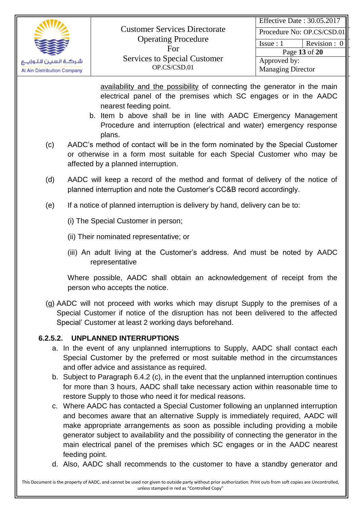

Issue :  $1$  Revision : 0

Page **13** of **20** Approved by: Managing Director

availability and the possibility of connecting the generator in the main electrical panel of the premises which SC engages or in the AADC nearest feeding point.

- b. Item b above shall be in line with AADC Emergency Management Procedure and interruption (electrical and water) emergency response plans.
- (c) AADC's method of contact will be in the form nominated by the Special Customer or otherwise in a form most suitable for each Special Customer who may be affected by a planned interruption.
- (d) AADC will keep a record of the method and format of delivery of the notice of planned interruption and note the Customer's CC&B record accordingly.
- (e) If a notice of planned interruption is delivery by hand, delivery can be to:
	- (i) The Special Customer in person;
	- (ii) Their nominated representative; or
	- (iii) An adult living at the Customer's address. And must be noted by AADC representative

Where possible, AADC shall obtain an acknowledgement of receipt from the person who accepts the notice.

(g) AADC will not proceed with works which may disrupt Supply to the premises of a Special Customer if notice of the disruption has not been delivered to the affected Special' Customer at least 2 working days beforehand.

# **6.2.5.2. UNPLANNED INTERRUPTIONS**

- a. In the event of any unplanned interruptions to Supply, AADC shall contact each Special Customer by the preferred or most suitable method in the circumstances and offer advice and assistance as required.
- b. Subject to Paragraph 6.4.2 (c), in the event that the unplanned interruption continues for more than 3 hours, AADC shall take necessary action within reasonable time to restore Supply to those who need it for medical reasons.
- c. Where AADC has contacted a Special Customer following an unplanned interruption and becomes aware that an alternative Supply is immediately required, AADC will make appropriate arrangements as soon as possible including providing a mobile generator subject to availability and the possibility of connecting the generator in the main electrical panel of the premises which SC engages or in the AADC nearest feeding point.
- d. Also, AADC shall recommends to the customer to have a standby generator and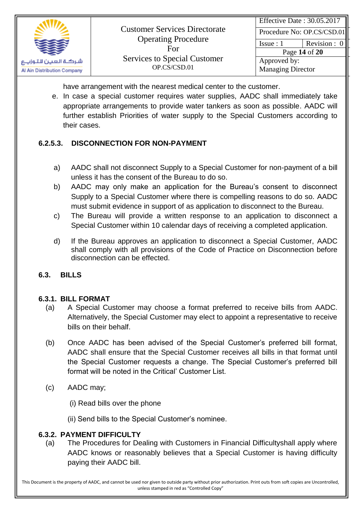

| Effective Date: 30.05.2017 |               |
|----------------------------|---------------|
| Procedure No: OP.CS/CSD.01 |               |
| Is sue: 1                  | Revision: 0   |
|                            | Page 14 of 20 |
| Approved by:               |               |
| <b>Managing Director</b>   |               |

have arrangement with the nearest medical center to the customer.

e. In case a special customer requires water supplies, AADC shall immediately take appropriate arrangements to provide water tankers as soon as possible. AADC will further establish Priorities of water supply to the Special Customers according to their cases.

### **6.2.5.3. DISCONNECTION FOR NON-PAYMENT**

- a) AADC shall not disconnect Supply to a Special Customer for non-payment of a bill unless it has the consent of the Bureau to do so.
- b) AADC may only make an application for the Bureau's consent to disconnect Supply to a Special Customer where there is compelling reasons to do so. AADC must submit evidence in support of as application to disconnect to the Bureau.
- c) The Bureau will provide a written response to an application to disconnect a Special Customer within 10 calendar days of receiving a completed application.
- d) If the Bureau approves an application to disconnect a Special Customer, AADC shall comply with all provisions of the Code of Practice on Disconnection before disconnection can be effected.

#### **6.3. BILLS**

#### **6.3.1. BILL FORMAT**

- (a) A Special Customer may choose a format preferred to receive bills from AADC. Alternatively, the Special Customer may elect to appoint a representative to receive bills on their behalf.
- (b) Once AADC has been advised of the Special Customer's preferred bill format, AADC shall ensure that the Special Customer receives all bills in that format until the Special Customer requests a change. The Special Customer's preferred bill format will be noted in the Critical' Customer List.
- (c) AADC may;
	- (i) Read bills over the phone
	- (ii) Send bills to the Special Customer's nominee.

#### **6.3.2. PAYMENT DIFFICULTY**

(a) The Procedures for Dealing with Customers in Financial Difficultyshall apply where AADC knows or reasonably believes that a Special Customer is having difficulty paying their AADC bill.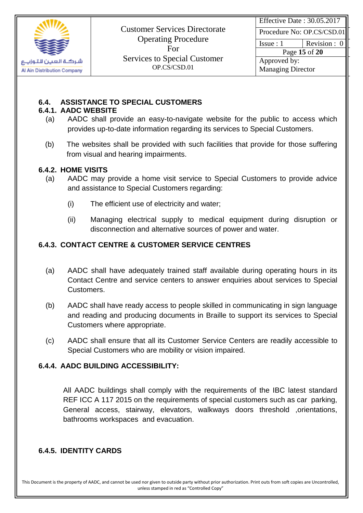

Effective Date : 30.05.2017

Procedure No: OP.CS/CSD.01

Issue :  $1$  Revision : 0

Page **15** of **20** Approved by: Managing Director

### **6.4. ASSISTANCE TO SPECIAL CUSTOMERS**

#### **6.4.1. AADC WEBSITE**

- (a) AADC shall provide an easy-to-navigate website for the public to access which provides up-to-date information regarding its services to Special Customers.
- (b) The websites shall be provided with such facilities that provide for those suffering from visual and hearing impairments.

#### **6.4.2. HOME VISITS**

- (a) AADC may provide a home visit service to Special Customers to provide advice and assistance to Special Customers regarding:
	- (i) The efficient use of electricity and water;
	- (ii) Managing electrical supply to medical equipment during disruption or disconnection and alternative sources of power and water.

# **6.4.3. CONTACT CENTRE & CUSTOMER SERVICE CENTRES**

- (a) AADC shall have adequately trained staff available during operating hours in its Contact Centre and service centers to answer enquiries about services to Special Customers.
- (b) AADC shall have ready access to people skilled in communicating in sign language and reading and producing documents in Braille to support its services to Special Customers where appropriate.
- (c) AADC shall ensure that all its Customer Service Centers are readily accessible to Special Customers who are mobility or vision impaired.

### **6.4.4. AADC BUILDING ACCESSIBILITY:**

All AADC buildings shall comply with the requirements of the IBC latest standard REF ICC A 117 2015 on the requirements of special customers such as car parking, General access, stairway, elevators, walkways doors threshold ,orientations, bathrooms workspaces and evacuation.

# **6.4.5. IDENTITY CARDS**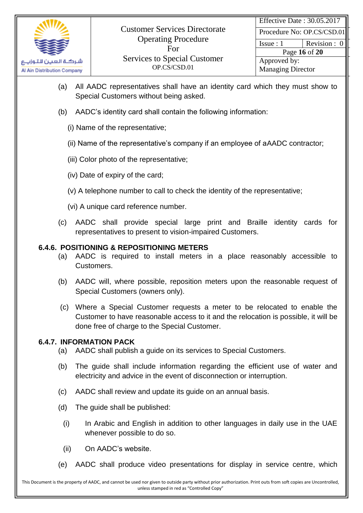

Issue :  $1$  Revision : 0

Page **16** of **20** Approved by: Managing Director

- (a) All AADC representatives shall have an identity card which they must show to Special Customers without being asked.
- (b) AADC's identity card shall contain the following information:
	- (i) Name of the representative;
	- (ii) Name of the representative's company if an employee of aAADC contractor;
	- (iii) Color photo of the representative;
	- (iv) Date of expiry of the card;
	- (v) A telephone number to call to check the identity of the representative;
	- (vi) A unique card reference number.
- (c) AADC shall provide special large print and Braille identity cards for representatives to present to vision-impaired Customers.

#### **6.4.6. POSITIONING & REPOSITIONING METERS**

- (a) AADC is required to install meters in a place reasonably accessible to Customers.
- (b) AADC will, where possible, reposition meters upon the reasonable request of Special Customers (owners only).
- (c) Where a Special Customer requests a meter to be relocated to enable the Customer to have reasonable access to it and the relocation is possible, it will be done free of charge to the Special Customer.

#### **6.4.7. INFORMATION PACK**

- (a) AADC shall publish a guide on its services to Special Customers.
- (b) The guide shall include information regarding the efficient use of water and electricity and advice in the event of disconnection or interruption.
- (c) AADC shall review and update its guide on an annual basis.
- (d) The guide shall be published:
	- (i) In Arabic and English in addition to other languages in daily use in the UAE whenever possible to do so.
	- (ii) On AADC's website.
- (e) AADC shall produce video presentations for display in service centre, which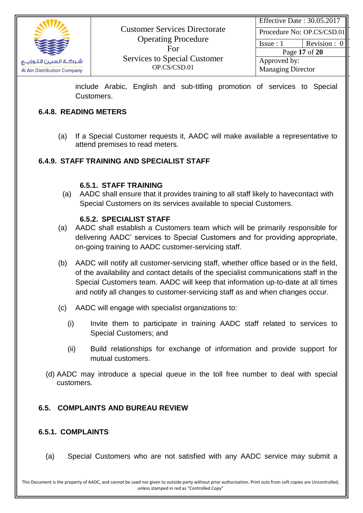

Effective Date : 30.05.2017

Procedure No: OP.CS/CSD.01

Issue :  $1$  Revision : 0

Page **17** of **20** Approved by: Managing Director

include Arabic, English and sub-titling promotion of services to Special Customers.

### **6.4.8. READING METERS**

(a) If a Special Customer requests it, AADC will make available a representative to attend premises to read meters.

# **6.4.9. STAFF TRAINING AND SPECIALIST STAFF**

### **6.5.1. STAFF TRAINING**

(a) AADC shall ensure that it provides training to all staff likely to havecontact with Special Customers on its services available to special Customers.

#### **6.5.2. SPECIALIST STAFF**

- (a) AADC shall establish a Customers team which will be primarily responsible for delivering AADC' services to Special Customers and for providing appropriate, on-going training to AADC customer-servicing staff.
- (b) AADC will notify all customer-servicing staff, whether office based or in the field, of the availability and contact details of the specialist communications staff in the Special Customers team. AADC will keep that information up-to-date at all times and notify all changes to customer-servicing staff as and when changes occur.
- (c) AADC will engage with specialist organizations to:
	- (i) Invite them to participate in training AADC staff related to services to Special Customers; and
	- (ii) Build relationships for exchange of information and provide support for mutual customers.
- (d) AADC may introduce a special queue in the toll free number to deal with special customers.

### **6.5. COMPLAINTS AND BUREAU REVIEW**

#### **6.5.1. COMPLAINTS**

(a) Special Customers who are not satisfied with any AADC service may submit a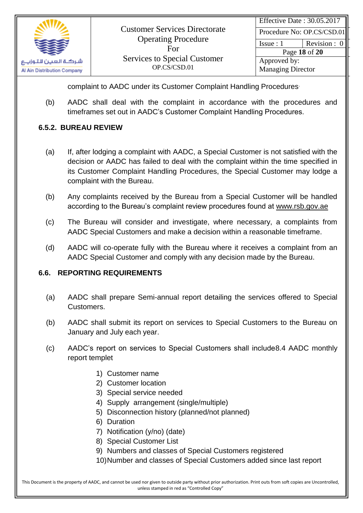

| Effective Date: 30.05.2017 |                            |
|----------------------------|----------------------------|
|                            | Procedure No: OP.CS/CSD.01 |
| Issue:1                    | Revision : 0               |
|                            | Page 18 of 20              |
| Approved by:               |                            |
| <b>Managing Director</b>   |                            |

complaint to AADC under its Customer Complaint Handling Procedures.

(b) AADC shall deal with the complaint in accordance with the procedures and timeframes set out in AADC's Customer Complaint Handling Procedures.

### **6.5.2. BUREAU REVIEW**

- (a) If, after lodging a complaint with AADC, a Special Customer is not satisfied with the decision or AADC has failed to deal with the complaint within the time specified in its Customer Complaint Handling Procedures, the Special Customer may lodge a complaint with the Bureau.
- (b) Any complaints received by the Bureau from a Special Customer will be handled according to the Bureau's complaint review procedures found at www.rsb.gov.ae
- (c) The Bureau will consider and investigate, where necessary, a complaints from AADC Special Customers and make a decision within a reasonable timeframe.
- (d) AADC will co-operate fully with the Bureau where it receives a complaint from an AADC Special Customer and comply with any decision made by the Bureau.

#### **6.6. REPORTING REQUIREMENTS**

- (a) AADC shall prepare Semi-annual report detailing the services offered to Special Customers.
- (b) AADC shall submit its report on services to Special Customers to the Bureau on January and July each year.
- (c) AADC's report on services to Special Customers shall include8.4 AADC monthly report templet
	- 1) Customer name
	- 2) Customer location
	- 3) Special service needed
	- 4) Supply arrangement (single/multiple)
	- 5) Disconnection history (planned/not planned)
	- 6) Duration
	- 7) Notification (y/no) (date)
	- 8) Special Customer List
	- 9) Numbers and classes of Special Customers registered
	- 10)Number and classes of Special Customers added since last report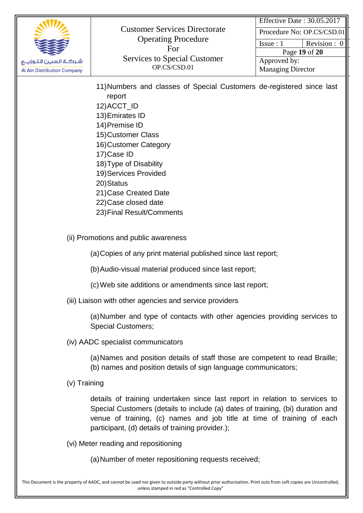

Effective Date : 30.05.2017

Procedure No: OP.CS/CSD.01

Issue :  $1$  Revision : 0

Page **19** of **20** Approved by:

Managing Director

|              | 11) Numbers and classes of Special Customers de-registered since last<br>report<br>12) ACCT_ID<br>13) Emirates ID<br>14) Premise ID<br>15) Customer Class<br>16) Customer Category<br>17) Case ID<br>18) Type of Disability<br>19) Services Provided<br>20) Status<br>21) Case Created Date<br>22) Case closed date<br>23) Final Result/Comments |
|--------------|--------------------------------------------------------------------------------------------------------------------------------------------------------------------------------------------------------------------------------------------------------------------------------------------------------------------------------------------------|
|              | (ii) Promotions and public awareness                                                                                                                                                                                                                                                                                                             |
|              | (a) Copies of any print material published since last report;                                                                                                                                                                                                                                                                                    |
|              | (b) Audio-visual material produced since last report;                                                                                                                                                                                                                                                                                            |
|              | (c) Web site additions or amendments since last report;                                                                                                                                                                                                                                                                                          |
|              | (iii) Liaison with other agencies and service providers                                                                                                                                                                                                                                                                                          |
|              | (a) Number and type of contacts with other agencies providing services to<br><b>Special Customers;</b>                                                                                                                                                                                                                                           |
|              | (iv) AADC specialist communicators                                                                                                                                                                                                                                                                                                               |
|              | (a) Names and position details of staff those are competent to read Braille;<br>(b) names and position details of sign language communicators;                                                                                                                                                                                                   |
| (v) Training |                                                                                                                                                                                                                                                                                                                                                  |
|              | details of training undertaken since last report in relation to services to<br>Special Customers (details to include (a) dates of training, (bi) duration and<br>venue of training, (c) names and job title at time of training of each<br>participant, (d) details of training provider.);                                                      |
|              | (vi) Meter reading and repositioning                                                                                                                                                                                                                                                                                                             |
|              | (a) Number of meter repositioning requests received;                                                                                                                                                                                                                                                                                             |
|              |                                                                                                                                                                                                                                                                                                                                                  |